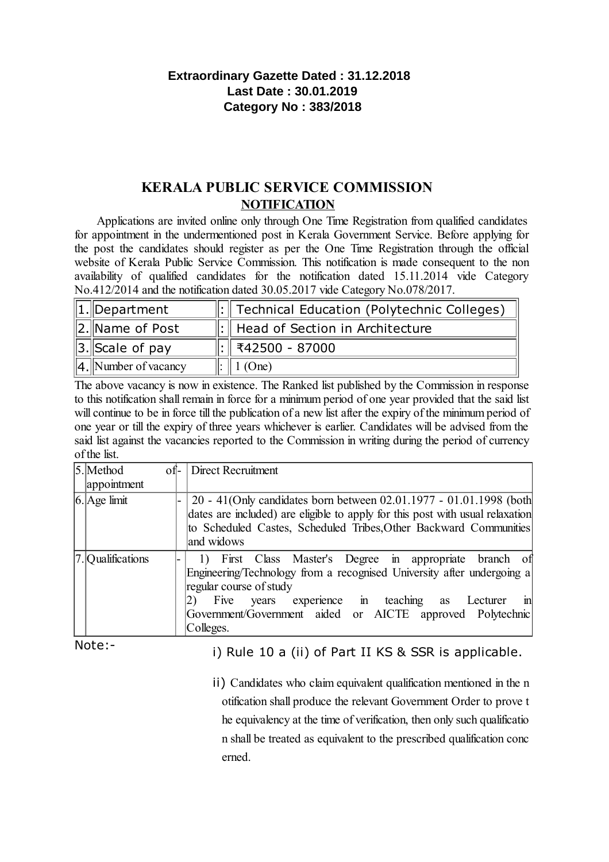# **Extraordinary Gazette Dated : 31.12.2018 Last Date : 30.01.2019 Category No : 383/2018**

# **KERALA PUBLIC SERVICE COMMISSION NOTIFICATION**

Applications are invited online only through One Time Registration from qualified candidates for appointment in the undermentioned post in Kerala Government Service. Before applying for the post the candidates should register as per the One Time Registration through the official website of Kerala Public Service Commission. This notification is made consequent to the non availability of qualified candidates for the notification dated 15.11.2014 vide Category No.412/2014 and the notification dated 30.05.2017 vide Category No.078/2017.

| $\ 1.\ $ Department      | $\Vert$ : $\Vert$ Technical Education (Polytechnic Colleges) |
|--------------------------|--------------------------------------------------------------|
| 2. Name of Post          | $\Vert$ : $\Vert$ Head of Section in Architecture            |
| $\ 3.\ $ Scale of pay    |                                                              |
| $\ 4.$ Number of vacancy | $\parallel$ 1 (One)                                          |

The above vacancy is now in existence. The Ranked list published by the Commission in response to this notification shall remain in force for a minimum period of one year provided that the said list will continue to be in force till the publication of a new list after the expiry of the minimum period of one year or till the expiry of three years whichever is earlier. Candidates will be advised from the said list against the vacancies reported to the Commission in writing during the period of currency of the list.

| 5. Method         | of- Direct Recruitment                                                         |  |  |
|-------------------|--------------------------------------------------------------------------------|--|--|
| appointment       |                                                                                |  |  |
| $6.$ Age limit    | 20 - 41(Only candidates born between 02.01.1977 - 01.01.1998 (both             |  |  |
|                   | dates are included) are eligible to apply for this post with usual relaxation  |  |  |
|                   | to Scheduled Castes, Scheduled Tribes, Other Backward Communities              |  |  |
|                   | and widows                                                                     |  |  |
| 7. Qualifications | First Class Master's Degree in appropriate branch of<br>1)                     |  |  |
|                   | Engineering/Technology from a recognised University after undergoing a         |  |  |
|                   | regular course of study                                                        |  |  |
|                   | experience in teaching as Lecturer<br>$\overline{\mathbf{m}}$<br>Five<br>years |  |  |
|                   | Government/Government aided or AICTE approved Polytechnic                      |  |  |
|                   | Colleges.                                                                      |  |  |

Note:-

i) Rule 10 a (ii) of Part II KS & SSR is applicable.

ii) Candidates who claim equivalent qualification mentioned in the n otification shall produce the relevant Government Order to prove t he equivalency at the time of verification, then only such qualificatio n shall be treated as equivalent to the prescribed qualification conc erned.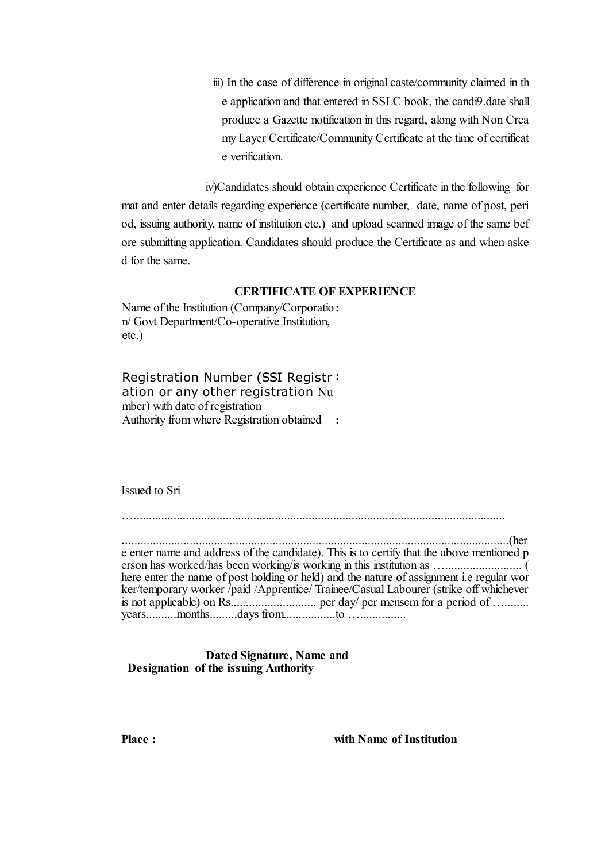iii) In the case of difference in original caste/community claimed in th e application and that entered in SSLC book, the candi9.date shall produce a Gazette notification in this regard, along with Non Crea my Layer Certificate/Community Certificate at the time of certificat e verification.

iv)Candidates should obtain experience Certificate in the following for mat and enter details regarding experience (certificate number, date, name of post, peri od, issuing authority, name of institution etc.) and upload scanned image of the same bef ore submitting application. Candidates should produce the Certificate as and when aske d for the same.

#### **CERTIFICATE OF EXPERIENCE**

Name of the Institution (Company/Corporatio **:** n/ Govt Department/Co-operative Institution, etc.)

Registration Number (SSI Registr **:** ation or any other registration Nu mber) with date of registration Authority from where Registration obtained **:**

Issued to Sri

….........................................................................................................................

…...........................................................................................................................(her e enter name and address of the candidate). This is to certify that the above mentioned p erson has worked/has been working/is working in this institution as …......................... ( here enter the name of post holding or held) and the nature of assignment i.e regular wor ker/temporary worker /paid /Apprentice/ Trainee/Casual Labourer (strike off whichever is not applicable) on Rs............................ per day/ per mensem for a period of …........ years..........months.........days from.................to …...............

**Dated Signature, Name and Designation of the issuing Authority**

**Place : with Name of Institution**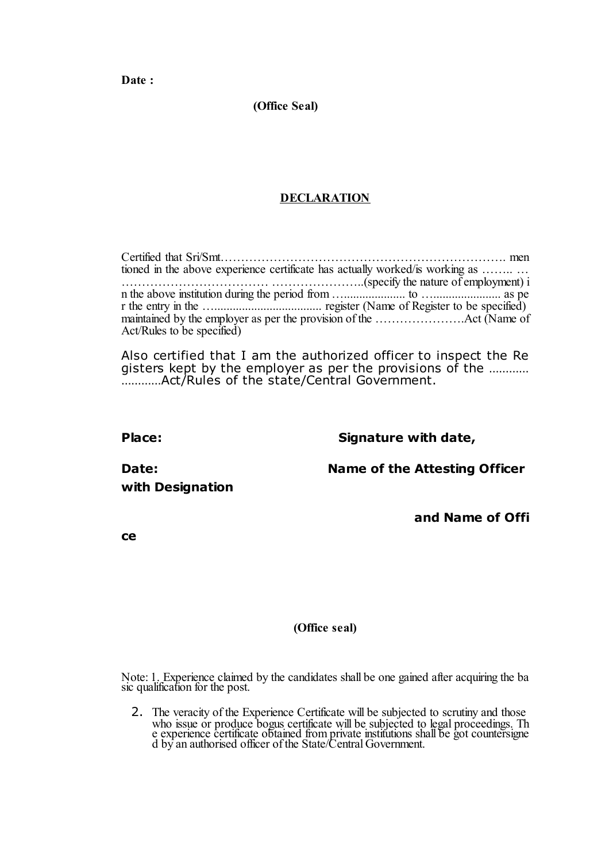**Date :**

**(Office Seal)**

## **DECLARATION**

| tioned in the above experience certificate has actually worked/is working as |  |
|------------------------------------------------------------------------------|--|
|                                                                              |  |
|                                                                              |  |
|                                                                              |  |
|                                                                              |  |
| Act/Rules to be specified)                                                   |  |

Also certified that I am the authorized officer to inspect the Re gisters kept by the employer as per the provisions of the ………… …………Act/Rules of the state/Central Government.

**Place: Signature with date,**

**with Designation**

**Date: Name of the Attesting Officer**

**and Name of Offi**

**ce**

### **(Office seal)**

Note: 1. Experience claimed by the candidates shall be one gained after acquiring the ba sic qualification for the post.

2. The veracity of the Experience Certificate will be subjected to scrutiny and those who issue or produce bogus certificate will be subjected to legal proceedings. Th e experience certificate obtained from private institutions shall be got countersigne d by an authorised officer of the State/Central Government.